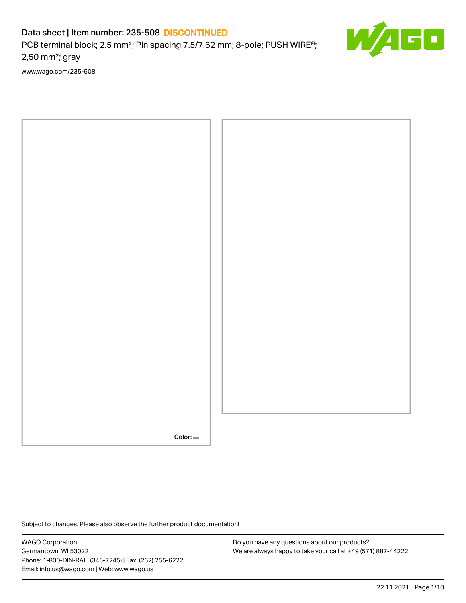PCB terminal block; 2.5 mm<sup>2</sup>; Pin spacing 7.5/7.62 mm; 8-pole; PUSH WIRE<sup>®</sup>; 2,50 mm²; gray

[www.wago.com/235-508](http://www.wago.com/235-508)



Subject to changes. Please also observe the further product documentation!

WAGO Corporation Germantown, WI 53022 Phone: 1-800-DIN-RAIL (346-7245) | Fax: (262) 255-6222 Email: info.us@wago.com | Web: www.wago.us

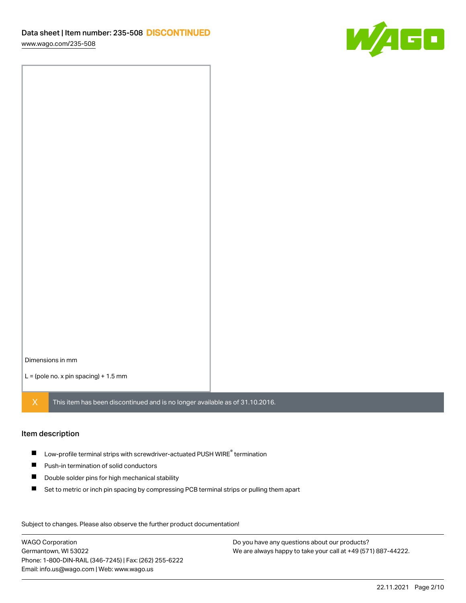

Dimensions in mm

 $L =$  (pole no. x pin spacing) + 1.5 mm

 $X$  This item has been discontinued and is no longer available as of 31.10.2016.

#### Item description

- $\blacksquare$  Low-profile terminal strips with screwdriver-actuated PUSH WIRE<sup>®</sup> termination
- **Push-in termination of solid conductors**
- $\blacksquare$ Double solder pins for high mechanical stability
- $\blacksquare$ Set to metric or inch pin spacing by compressing PCB terminal strips or pulling them apart

Subject to changes. Please also observe the further product documentation! Data

WAGO Corporation Germantown, WI 53022 Phone: 1-800-DIN-RAIL (346-7245) | Fax: (262) 255-6222 Email: info.us@wago.com | Web: www.wago.us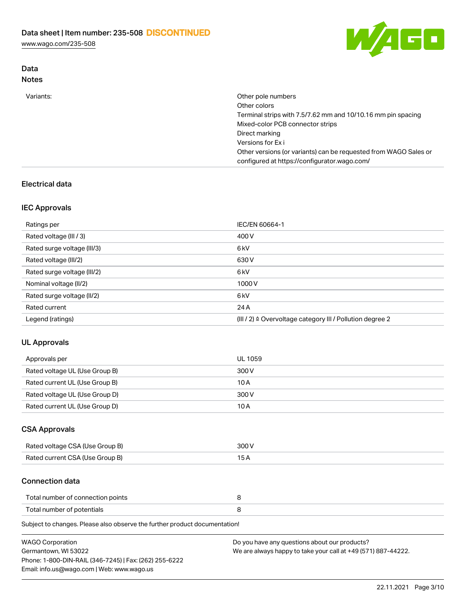Data



| <b>Notes</b> |                                                                                                                  |
|--------------|------------------------------------------------------------------------------------------------------------------|
| Variants:    | Other pole numbers                                                                                               |
|              | Other colors                                                                                                     |
|              | Terminal strips with 7.5/7.62 mm and 10/10.16 mm pin spacing                                                     |
|              | Mixed-color PCB connector strips                                                                                 |
|              | Direct marking                                                                                                   |
|              | Versions for Exi                                                                                                 |
|              | Other versions (or variants) can be requested from WAGO Sales or<br>configured at https://configurator.wago.com/ |

## Electrical data

### IEC Approvals

| Ratings per                 | IEC/EN 60664-1                                                        |
|-----------------------------|-----------------------------------------------------------------------|
| Rated voltage (III / 3)     | 400 V                                                                 |
| Rated surge voltage (III/3) | 6 <sub>kV</sub>                                                       |
| Rated voltage (III/2)       | 630 V                                                                 |
| Rated surge voltage (III/2) | 6 <sub>kV</sub>                                                       |
| Nominal voltage (II/2)      | 1000V                                                                 |
| Rated surge voltage (II/2)  | 6 <sub>kV</sub>                                                       |
| Rated current               | 24 A                                                                  |
| Legend (ratings)            | $(III / 2)$ $\triangle$ Overvoltage category III / Pollution degree 2 |

### UL Approvals

| Approvals per                  | <b>UL 1059</b> |
|--------------------------------|----------------|
| Rated voltage UL (Use Group B) | 300 V          |
| Rated current UL (Use Group B) | 10 A           |
| Rated voltage UL (Use Group D) | 300 V          |
| Rated current UL (Use Group D) | 10 A           |

### CSA Approvals

| Rated voltage CSA (Use Group B) | 300 V |
|---------------------------------|-------|
| Rated current CSA (Use Group B) |       |

#### Connection data

| Total number of connection points |  |
|-----------------------------------|--|
| Total number of potentials        |  |

Subject to changes. Please also observe the further product documentation!

| <b>WAGO Corporation</b>                                | Do you have any questions about our products?                 |
|--------------------------------------------------------|---------------------------------------------------------------|
| Germantown, WI 53022                                   | We are always happy to take your call at +49 (571) 887-44222. |
| Phone: 1-800-DIN-RAIL (346-7245)   Fax: (262) 255-6222 |                                                               |
| Email: info.us@wago.com   Web: www.wago.us             |                                                               |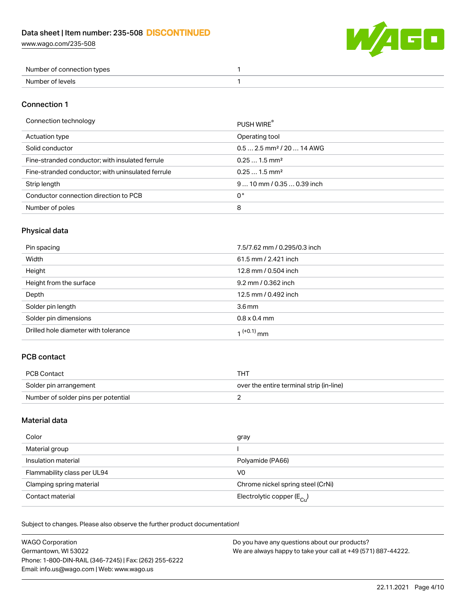

| Number of connection types |  |
|----------------------------|--|
| Number of levels           |  |

### Connection 1

| Connection technology                             | PUSH WIRE                              |
|---------------------------------------------------|----------------------------------------|
| Actuation type                                    | Operating tool                         |
| Solid conductor                                   | $0.5$ 2.5 mm <sup>2</sup> / 20  14 AWG |
| Fine-stranded conductor; with insulated ferrule   | $0.251.5$ mm <sup>2</sup>              |
| Fine-stranded conductor; with uninsulated ferrule | $0.251.5$ mm <sup>2</sup>              |
| Strip length                                      | $910$ mm / 0.35  0.39 inch             |
| Conductor connection direction to PCB             | 0°                                     |
| Number of poles                                   | 8                                      |
|                                                   |                                        |

## Physical data

| Pin spacing                          | 7.5/7.62 mm / 0.295/0.3 inch |
|--------------------------------------|------------------------------|
| Width                                | 61.5 mm / 2.421 inch         |
| Height                               | 12.8 mm / 0.504 inch         |
| Height from the surface              | 9.2 mm / 0.362 inch          |
| Depth                                | 12.5 mm / 0.492 inch         |
| Solder pin length                    | 3.6 <sub>mm</sub>            |
| Solder pin dimensions                | $0.8 \times 0.4$ mm          |
| Drilled hole diameter with tolerance | 1 <sup>(+0.1)</sup> mm       |

## PCB contact

| PCB Contact                         | THT                                      |
|-------------------------------------|------------------------------------------|
| Solder pin arrangement              | over the entire terminal strip (in-line) |
| Number of solder pins per potential |                                          |

### Material data

| Color                       | gray                                    |
|-----------------------------|-----------------------------------------|
| Material group              |                                         |
| Insulation material         | Polyamide (PA66)                        |
| Flammability class per UL94 | V <sub>0</sub>                          |
| Clamping spring material    | Chrome nickel spring steel (CrNi)       |
| Contact material            | Electrolytic copper ( $E_{\text{Cu}}$ ) |

Subject to changes. Please also observe the further product documentation!

| <b>WAGO Corporation</b>                                | Do you have any questions about our products?                 |
|--------------------------------------------------------|---------------------------------------------------------------|
| Germantown, WI 53022                                   | We are always happy to take your call at +49 (571) 887-44222. |
| Phone: 1-800-DIN-RAIL (346-7245)   Fax: (262) 255-6222 |                                                               |
| Email: info.us@wago.com   Web: www.wago.us             |                                                               |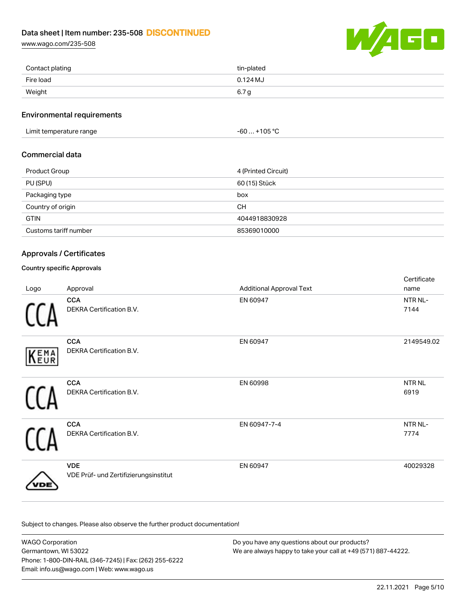[www.wago.com/235-508](http://www.wago.com/235-508)



| Contact plating | tin-plated |
|-----------------|------------|
| Fire load       | $0.124M$ J |
| Weight          | 6.7 a      |

#### Environmental requirements

Limit temperature range  $-60...+105$  °C

### Commercial data

| <b>Product Group</b>  | 4 (Printed Circuit) |
|-----------------------|---------------------|
| PU (SPU)              | 60 (15) Stück       |
| Packaging type        | box                 |
| Country of origin     | CН                  |
| <b>GTIN</b>           | 4044918830928       |
| Customs tariff number | 85369010000         |

### Approvals / Certificates

### Country specific Approvals

| Logo | Approval                                            | <b>Additional Approval Text</b> | Certificate<br>name   |
|------|-----------------------------------------------------|---------------------------------|-----------------------|
|      | <b>CCA</b><br>DEKRA Certification B.V.              | EN 60947                        | NTR NL-<br>7144       |
| KEMA | <b>CCA</b><br>DEKRA Certification B.V.              | EN 60947                        | 2149549.02            |
|      | <b>CCA</b><br>DEKRA Certification B.V.              | EN 60998                        | <b>NTR NL</b><br>6919 |
|      | <b>CCA</b><br>DEKRA Certification B.V.              | EN 60947-7-4                    | NTR NL-<br>7774       |
|      | <b>VDE</b><br>VDE Prüf- und Zertifizierungsinstitut | EN 60947                        | 40029328              |

Subject to changes. Please also observe the further product documentation!

WAGO Corporation Germantown, WI 53022 Phone: 1-800-DIN-RAIL (346-7245) | Fax: (262) 255-6222 Email: info.us@wago.com | Web: www.wago.us Do you have any questions about our products? We are always happy to take your call at +49 (571) 887-44222.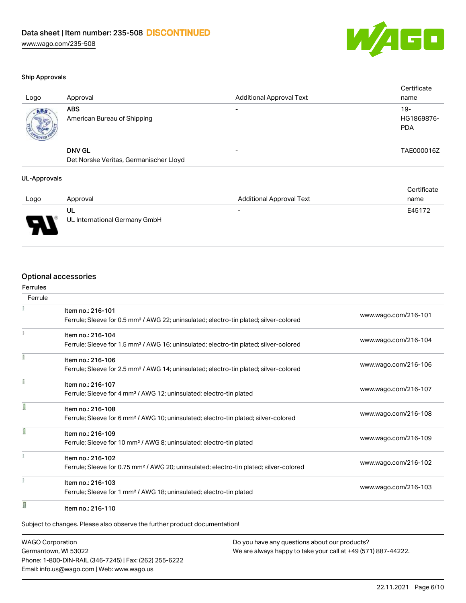

#### Ship Approvals

| Logo | Approval                                  | <b>Additional Approval Text</b> | Certificate<br>name               |
|------|-------------------------------------------|---------------------------------|-----------------------------------|
| ABS. | <b>ABS</b><br>American Bureau of Shipping |                                 | $19-$<br>HG1869876-<br><b>PDA</b> |
|      | <b>DNV GL</b>                             | $\overline{\phantom{0}}$        | TAE000016Z                        |
|      | Det Norske Veritas, Germanischer Lloyd    |                                 |                                   |

#### UL-Approvals

|        |                               |                                 | Certificate |
|--------|-------------------------------|---------------------------------|-------------|
| Logo   | Approval                      | <b>Additional Approval Text</b> | name        |
|        | UL                            | $\overline{\phantom{0}}$        | E45172      |
| J<br>◡ | UL International Germany GmbH |                                 |             |

## Optional accessories

| Ferrules<br>Ferrule |                                                                                                                        |                      |
|---------------------|------------------------------------------------------------------------------------------------------------------------|----------------------|
|                     |                                                                                                                        |                      |
|                     | Item no.: 216-101<br>Ferrule; Sleeve for 0.5 mm <sup>2</sup> / AWG 22; uninsulated; electro-tin plated; silver-colored | www.wago.com/216-101 |
|                     | Item no.: 216-104                                                                                                      |                      |
|                     | Ferrule; Sleeve for 1.5 mm <sup>2</sup> / AWG 16; uninsulated; electro-tin plated; silver-colored                      | www.wago.com/216-104 |
|                     | Item no.: 216-106                                                                                                      |                      |
|                     | Ferrule; Sleeve for 2.5 mm <sup>2</sup> / AWG 14; uninsulated; electro-tin plated; silver-colored                      | www.wago.com/216-106 |
| f                   | Item no.: 216-107                                                                                                      |                      |
|                     | Ferrule; Sleeve for 4 mm <sup>2</sup> / AWG 12; uninsulated; electro-tin plated                                        | www.wago.com/216-107 |
|                     | Item no.: 216-108                                                                                                      |                      |
|                     | Ferrule; Sleeve for 6 mm <sup>2</sup> / AWG 10; uninsulated; electro-tin plated; silver-colored                        | www.wago.com/216-108 |
|                     | Item no.: 216-109                                                                                                      |                      |
|                     | Ferrule; Sleeve for 10 mm <sup>2</sup> / AWG 8; uninsulated; electro-tin plated                                        | www.wago.com/216-109 |
|                     | Item no.: 216-102                                                                                                      |                      |
|                     | Ferrule; Sleeve for 0.75 mm <sup>2</sup> / AWG 20; uninsulated; electro-tin plated; silver-colored                     | www.wago.com/216-102 |
|                     | Item no.: 216-103                                                                                                      |                      |
|                     | Ferrule; Sleeve for 1 mm <sup>2</sup> / AWG 18; uninsulated; electro-tin plated                                        | www.wago.com/216-103 |
| I                   | Item no.: 216-110                                                                                                      |                      |

WAGO Corporation Germantown, WI 53022 Phone: 1-800-DIN-RAIL (346-7245) | Fax: (262) 255-6222 Email: info.us@wago.com | Web: www.wago.us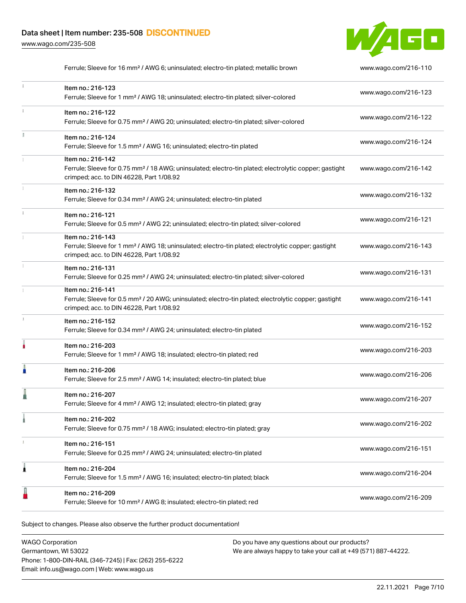[www.wago.com/235-508](http://www.wago.com/235-508)



|    | Ferrule; Sleeve for 16 mm <sup>2</sup> / AWG 6; uninsulated; electro-tin plated; metallic brown                                                                                    | www.wago.com/216-110 |
|----|------------------------------------------------------------------------------------------------------------------------------------------------------------------------------------|----------------------|
|    | Item no.: 216-123<br>Ferrule; Sleeve for 1 mm <sup>2</sup> / AWG 18; uninsulated; electro-tin plated; silver-colored                                                               | www.wago.com/216-123 |
|    | Item no.: 216-122<br>Ferrule; Sleeve for 0.75 mm <sup>2</sup> / AWG 20; uninsulated; electro-tin plated; silver-colored                                                            | www.wago.com/216-122 |
| I. | Item no.: 216-124<br>Ferrule; Sleeve for 1.5 mm <sup>2</sup> / AWG 16; uninsulated; electro-tin plated                                                                             | www.wago.com/216-124 |
|    | Item no.: 216-142<br>Ferrule; Sleeve for 0.75 mm <sup>2</sup> / 18 AWG; uninsulated; electro-tin plated; electrolytic copper; gastight<br>crimped; acc. to DIN 46228, Part 1/08.92 | www.wago.com/216-142 |
|    | Item no.: 216-132<br>Ferrule; Sleeve for 0.34 mm <sup>2</sup> / AWG 24; uninsulated; electro-tin plated                                                                            | www.wago.com/216-132 |
|    | Item no.: 216-121<br>Ferrule; Sleeve for 0.5 mm <sup>2</sup> / AWG 22; uninsulated; electro-tin plated; silver-colored                                                             | www.wago.com/216-121 |
|    | Item no.: 216-143<br>Ferrule; Sleeve for 1 mm <sup>2</sup> / AWG 18; uninsulated; electro-tin plated; electrolytic copper; gastight<br>crimped; acc. to DIN 46228, Part 1/08.92    | www.wago.com/216-143 |
|    | Item no.: 216-131<br>Ferrule; Sleeve for 0.25 mm <sup>2</sup> / AWG 24; uninsulated; electro-tin plated; silver-colored                                                            | www.wago.com/216-131 |
|    | Item no.: 216-141<br>Ferrule; Sleeve for 0.5 mm <sup>2</sup> / 20 AWG; uninsulated; electro-tin plated; electrolytic copper; gastight<br>crimped; acc. to DIN 46228, Part 1/08.92  | www.wago.com/216-141 |
|    | Item no.: 216-152<br>Ferrule; Sleeve for 0.34 mm <sup>2</sup> / AWG 24; uninsulated; electro-tin plated                                                                            | www.wago.com/216-152 |
| ۸  | Item no.: 216-203<br>Ferrule; Sleeve for 1 mm <sup>2</sup> / AWG 18; insulated; electro-tin plated; red                                                                            | www.wago.com/216-203 |
|    | Item no.: 216-206<br>Ferrule; Sleeve for 2.5 mm <sup>2</sup> / AWG 14; insulated; electro-tin plated; blue                                                                         | www.wago.com/216-206 |
|    | Item no.: 216-207<br>Ferrule; Sleeve for 4 mm <sup>2</sup> / AWG 12; insulated; electro-tin plated; gray                                                                           | www.wago.com/216-207 |
|    | Item no.: 216-202<br>Ferrule; Sleeve for 0.75 mm <sup>2</sup> / 18 AWG; insulated; electro-tin plated; gray                                                                        | www.wago.com/216-202 |
| x  | Item no.: 216-151<br>Ferrule; Sleeve for 0.25 mm <sup>2</sup> / AWG 24; uninsulated; electro-tin plated                                                                            | www.wago.com/216-151 |
| 1  | Item no.: 216-204<br>Ferrule; Sleeve for 1.5 mm <sup>2</sup> / AWG 16; insulated; electro-tin plated; black                                                                        | www.wago.com/216-204 |
|    | Item no.: 216-209<br>Ferrule; Sleeve for 10 mm <sup>2</sup> / AWG 8; insulated; electro-tin plated; red                                                                            | www.wago.com/216-209 |
|    |                                                                                                                                                                                    |                      |

Subject to changes. Please also observe the further product documentation!

WAGO Corporation Germantown, WI 53022 Phone: 1-800-DIN-RAIL (346-7245) | Fax: (262) 255-6222 Email: info.us@wago.com | Web: www.wago.us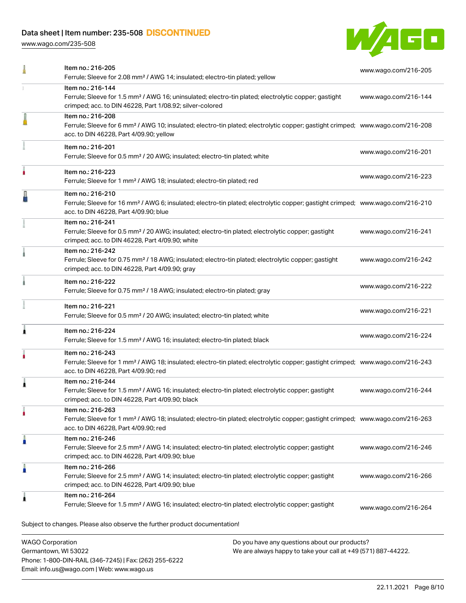Phone: 1-800-DIN-RAIL (346-7245) | Fax: (262) 255-6222

Email: info.us@wago.com | Web: www.wago.us

[www.wago.com/235-508](http://www.wago.com/235-508)



|                         | Item no.: 216-205<br>Ferrule; Sleeve for 2.08 mm <sup>2</sup> / AWG 14; insulated; electro-tin plated; yellow                                                                                              |                                                                                                                | www.wago.com/216-205 |
|-------------------------|------------------------------------------------------------------------------------------------------------------------------------------------------------------------------------------------------------|----------------------------------------------------------------------------------------------------------------|----------------------|
|                         | Item no.: 216-144<br>Ferrule; Sleeve for 1.5 mm <sup>2</sup> / AWG 16; uninsulated; electro-tin plated; electrolytic copper; gastight<br>crimped; acc. to DIN 46228, Part 1/08.92; silver-colored          |                                                                                                                | www.wago.com/216-144 |
|                         | Item no.: 216-208<br>Ferrule; Sleeve for 6 mm <sup>2</sup> / AWG 10; insulated; electro-tin plated; electrolytic copper; gastight crimped; www.wago.com/216-208<br>acc. to DIN 46228, Part 4/09.90; yellow |                                                                                                                |                      |
|                         | Item no.: 216-201<br>Ferrule; Sleeve for 0.5 mm <sup>2</sup> / 20 AWG; insulated; electro-tin plated; white                                                                                                |                                                                                                                | www.wago.com/216-201 |
|                         | Item no.: 216-223<br>Ferrule; Sleeve for 1 mm <sup>2</sup> / AWG 18; insulated; electro-tin plated; red                                                                                                    |                                                                                                                | www.wago.com/216-223 |
|                         | Item no.: 216-210<br>Ferrule; Sleeve for 16 mm <sup>2</sup> / AWG 6; insulated; electro-tin plated; electrolytic copper; gastight crimped; www.wago.com/216-210<br>acc. to DIN 46228, Part 4/09.90; blue   |                                                                                                                |                      |
|                         | Item no.: 216-241<br>Ferrule; Sleeve for 0.5 mm <sup>2</sup> / 20 AWG; insulated; electro-tin plated; electrolytic copper; gastight<br>crimped; acc. to DIN 46228, Part 4/09.90; white                     |                                                                                                                | www.wago.com/216-241 |
|                         | Item no.: 216-242<br>Ferrule; Sleeve for 0.75 mm <sup>2</sup> / 18 AWG; insulated; electro-tin plated; electrolytic copper; gastight<br>crimped; acc. to DIN 46228, Part 4/09.90; gray                     |                                                                                                                | www.wago.com/216-242 |
|                         | Item no.: 216-222<br>Ferrule; Sleeve for 0.75 mm <sup>2</sup> / 18 AWG; insulated; electro-tin plated; gray                                                                                                |                                                                                                                | www.wago.com/216-222 |
|                         | Item no.: 216-221<br>Ferrule; Sleeve for 0.5 mm <sup>2</sup> / 20 AWG; insulated; electro-tin plated; white                                                                                                |                                                                                                                | www.wago.com/216-221 |
|                         | Item no.: 216-224<br>Ferrule; Sleeve for 1.5 mm <sup>2</sup> / AWG 16; insulated; electro-tin plated; black                                                                                                |                                                                                                                | www.wago.com/216-224 |
|                         | Item no.: 216-243<br>Ferrule; Sleeve for 1 mm <sup>2</sup> / AWG 18; insulated; electro-tin plated; electrolytic copper; gastight crimped; www.wago.com/216-243<br>acc. to DIN 46228, Part 4/09.90; red    |                                                                                                                |                      |
|                         | Item no.: 216-244<br>Ferrule; Sleeve for 1.5 mm <sup>2</sup> / AWG 16; insulated; electro-tin plated; electrolytic copper; gastight<br>crimped; acc. to DIN 46228, Part 4/09.90; black                     |                                                                                                                | www.wago.com/216-244 |
|                         | Item no.: 216-263<br>Ferrule; Sleeve for 1 mm <sup>2</sup> / AWG 18; insulated; electro-tin plated; electrolytic copper; gastight crimped; www.wago.com/216-263<br>acc. to DIN 46228, Part 4/09.90; red    |                                                                                                                |                      |
|                         | Item no.: 216-246<br>Ferrule; Sleeve for 2.5 mm <sup>2</sup> / AWG 14; insulated; electro-tin plated; electrolytic copper; gastight<br>crimped; acc. to DIN 46228, Part 4/09.90; blue                      |                                                                                                                | www.wago.com/216-246 |
|                         | Item no.: 216-266<br>Ferrule; Sleeve for 2.5 mm <sup>2</sup> / AWG 14; insulated; electro-tin plated; electrolytic copper; gastight<br>crimped; acc. to DIN 46228, Part 4/09.90; blue                      |                                                                                                                | www.wago.com/216-266 |
|                         | Item no.: 216-264<br>Ferrule; Sleeve for 1.5 mm <sup>2</sup> / AWG 16; insulated; electro-tin plated; electrolytic copper; gastight                                                                        |                                                                                                                | www.wago.com/216-264 |
|                         | Subject to changes. Please also observe the further product documentation!                                                                                                                                 |                                                                                                                |                      |
| <b>WAGO Corporation</b> | Germantown, WI 53022                                                                                                                                                                                       | Do you have any questions about our products?<br>We are always happy to take your call at +49 (571) 887-44222. |                      |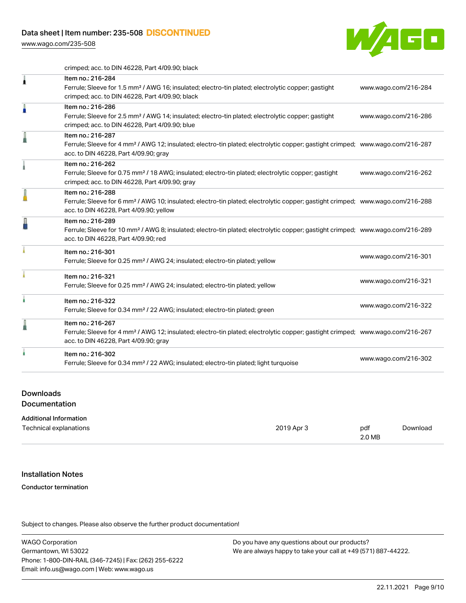[www.wago.com/235-508](http://www.wago.com/235-508)



crimped; acc. to DIN 46228, Part 4/09.90; black

|   | Item no.: 216-284<br>Ferrule; Sleeve for 1.5 mm <sup>2</sup> / AWG 16; insulated; electro-tin plated; electrolytic copper; gastight<br>crimped; acc. to DIN 46228, Part 4/09.90; black                     | www.wago.com/216-284 |
|---|------------------------------------------------------------------------------------------------------------------------------------------------------------------------------------------------------------|----------------------|
| A | Item no.: 216-286<br>Ferrule; Sleeve for 2.5 mm <sup>2</sup> / AWG 14; insulated; electro-tin plated; electrolytic copper; gastight<br>crimped; acc. to DIN 46228, Part 4/09.90; blue                      | www.wago.com/216-286 |
| I | Item no.: 216-287<br>Ferrule; Sleeve for 4 mm <sup>2</sup> / AWG 12; insulated; electro-tin plated; electrolytic copper; gastight crimped; www.wago.com/216-287<br>acc. to DIN 46228, Part 4/09.90; gray   |                      |
|   | Item no.: 216-262<br>Ferrule; Sleeve for 0.75 mm <sup>2</sup> / 18 AWG; insulated; electro-tin plated; electrolytic copper; gastight<br>crimped; acc. to DIN 46228, Part 4/09.90; gray                     | www.wago.com/216-262 |
|   | Item no.: 216-288<br>Ferrule; Sleeve for 6 mm <sup>2</sup> / AWG 10; insulated; electro-tin plated; electrolytic copper; gastight crimped; www.wago.com/216-288<br>acc. to DIN 46228, Part 4/09.90; yellow |                      |
|   | Item no.: 216-289<br>Ferrule; Sleeve for 10 mm <sup>2</sup> / AWG 8; insulated; electro-tin plated; electrolytic copper; gastight crimped; www.wago.com/216-289<br>acc. to DIN 46228, Part 4/09.90; red    |                      |
|   | Item no.: 216-301<br>Ferrule; Sleeve for 0.25 mm <sup>2</sup> / AWG 24; insulated; electro-tin plated; yellow                                                                                              | www.wago.com/216-301 |
|   | Item no.: 216-321<br>Ferrule; Sleeve for 0.25 mm <sup>2</sup> / AWG 24; insulated; electro-tin plated; yellow                                                                                              | www.wago.com/216-321 |
|   | Item no.: 216-322<br>Ferrule; Sleeve for 0.34 mm <sup>2</sup> / 22 AWG; insulated; electro-tin plated; green                                                                                               | www.wago.com/216-322 |
| l | Item no.: 216-267<br>Ferrule; Sleeve for 4 mm <sup>2</sup> / AWG 12; insulated; electro-tin plated; electrolytic copper; gastight crimped; www.wago.com/216-267<br>acc. to DIN 46228, Part 4/09.90; gray   |                      |
|   | Item no.: 216-302<br>Ferrule; Sleeve for 0.34 mm <sup>2</sup> / 22 AWG; insulated; electro-tin plated; light turquoise                                                                                     | www.wago.com/216-302 |
|   |                                                                                                                                                                                                            |                      |

#### Downloads

**Documentation** 

#### Additional Information

| Technical explanations | 2019 Apr 3 | pdf    | Download |
|------------------------|------------|--------|----------|
|                        |            | 2.0 MB |          |

#### Installation Notes

#### Conductor termination

Subject to changes. Please also observe the further product documentation!

WAGO Corporation Germantown, WI 53022 Phone: 1-800-DIN-RAIL (346-7245) | Fax: (262) 255-6222 Email: info.us@wago.com | Web: www.wago.us